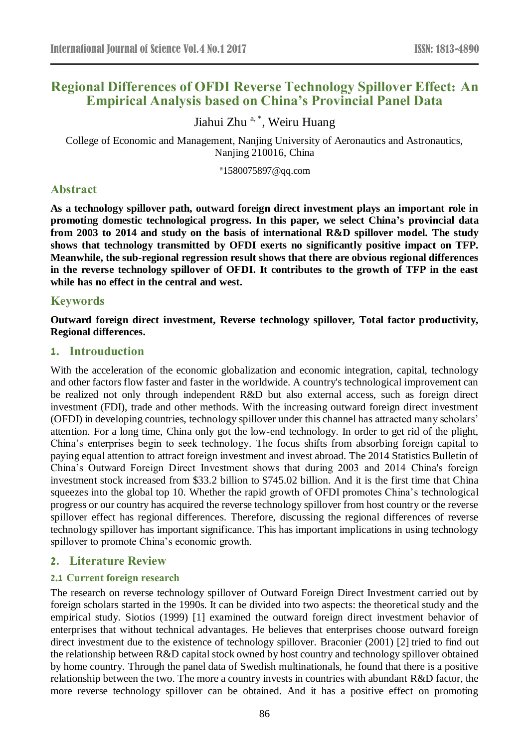# **Regional Differences of OFDI Reverse Technology Spillover Effect: An Empirical Analysis based on China's Provincial Panel Data**

Jiahui Zhu<sup>a,\*</sup>, Weiru Huang

College of Economic and Management, Nanjing University of Aeronautics and Astronautics, Nanjing 210016, China

<sup>a</sup>[1580075897@qq.com](mailto:1580075897@qq.com)

# **Abstract**

**As a technology spillover path, outward foreign direct investment plays an important role in promoting domestic technological progress. In this paper, we select China's provincial data from 2003 to 2014 and study on the basis of international R&D spillover model. The study shows that technology transmitted by OFDI exerts no significantly positive impact on TFP. Meanwhile, the sub-regional regression result shows that there are obvious regional differences in the reverse technology spillover of OFDI. It contributes to the growth of TFP in the east while has no effect in the central and west.**

# **Keywords**

**Outward foreign direct investment, Reverse technology spillover, Total factor productivity, Regional differences.** 

## **1. Introuduction**

With the acceleration of the economic globalization and economic integration, capital, technology and other factors flow faster and faster in the worldwide. A country's technological improvement can be realized not only through independent R&D but also external access, such as foreign direct investment (FDI), trade and other methods. With the increasing outward foreign direct investment (OFDI) in developing countries, technology spillover under this channel has attracted many scholars' attention. For a long time, China only got the low-end technology. In order to get rid of the plight, China's enterprises begin to seek technology. The focus shifts from absorbing foreign capital to paying equal attention to attract foreign investment and invest abroad. The 2014 Statistics Bulletin of China's Outward Foreign Direct Investment shows that during 2003 and 2014 China's foreign investment stock increased from \$33.2 billion to \$745.02 billion. And it is the first time that China squeezes into the global top 10. Whether the rapid growth of OFDI promotes China's technological progress or our country has acquired the reverse technology spillover from host country or the reverse spillover effect has regional differences. Therefore, discussing the regional differences of reverse technology spillover has important significance. This has important implications in using technology spillover to promote China's economic growth.

# **2. Literature Review**

### **2.1 Current foreign research**

The research on reverse technology spillover of Outward Foreign Direct Investment carried out by foreign scholars started in the 1990s. It can be divided into two aspects: the theoretical study and the empirical study. Siotios (1999) [1] examined the outward foreign direct investment behavior of enterprises that without technical advantages. He believes that enterprises choose outward foreign direct investment due to the existence of technology spillover. Braconier (2001) [2] tried to find out the relationship between R&D capital stock owned by host country and technology spillover obtained by home country. Through the panel data of Swedish multinationals, he found that there is a positive relationship between the two. The more a country invests in countries with abundant R&D factor, the more reverse technology spillover can be obtained. And it has a positive effect on promoting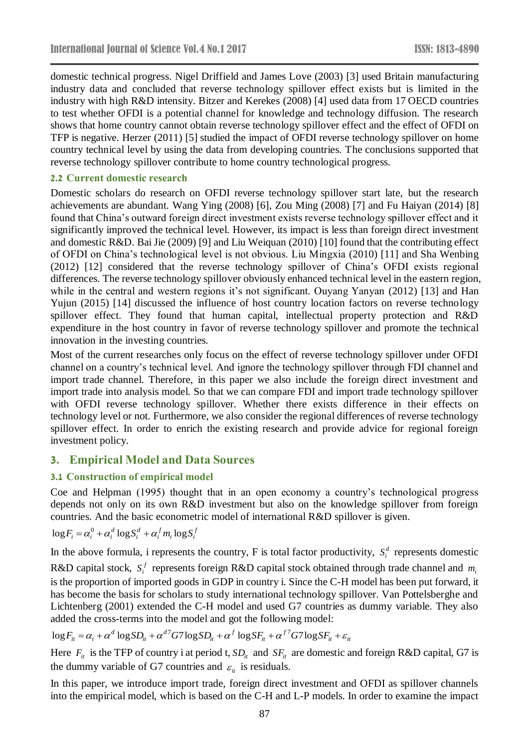domestic technical progress. Nigel Driffield and James Love (2003) [3] used Britain manufacturing industry data and concluded that reverse technology spillover effect exists but is limited in the industry with high R&D intensity. Bitzer and Kerekes (2008) [4] used data from 17 OECD countries to test whether OFDI is a potential channel for knowledge and technology diffusion. The research shows that home country cannot obtain reverse technology spillover effect and the effect of OFDI on TFP is negative. Herzer (2011) [5] studied the impact of OFDI reverse technology spillover on home country technical level by using the data from developing countries. The conclusions supported that reverse technology spillover contribute to home country technological progress.

### **2.2 Current domestic research**

Domestic scholars do research on OFDI reverse technology spillover start late, but the research achievements are abundant. Wang Ying (2008) [6], Zou Ming (2008) [7] and Fu Haiyan (2014) [8] found that China's outward foreign direct investment exists reverse technology spillover effect and it significantly improved the technical level. However, its impact is less than foreign direct investment and domestic R&D. Bai Jie (2009) [9] and Liu Weiquan (2010) [10] found that the contributing effect of OFDI on China's technological level is not obvious. Liu Mingxia (2010) [11] and Sha Wenbing (2012) [12] considered that the reverse technology spillover of China's OFDI exists regional differences. The reverse technology spillover obviously enhanced technical level in the eastern region, while in the central and western regions it's not significant. Ouyang Yanyan (2012) [13] and Han Yujun (2015) [14] discussed the influence of host country location factors on reverse technology spillover effect. They found that human capital, intellectual property protection and R&D expenditure in the host country in favor of reverse technology spillover and promote the technical innovation in the investing countries.

Most of the current researches only focus on the effect of reverse technology spillover under OFDI channel on a country's technical level. And ignore the technology spillover through FDI channel and import trade channel. Therefore, in this paper we also include the foreign direct investment and import trade into analysis model. So that we can compare FDI and import trade technology spillover with OFDI reverse technology spillover. Whether there exists difference in their effects on technology level or not. Furthermore, we also consider the regional differences of reverse technology spillover effect. In order to enrich the existing research and provide advice for regional foreign investment policy.

# **3. Empirical Model and Data Sources**

# **3.1 Construction of empirical model**

Coe and Helpman (1995) thought that in an open economy a country's technological progress depends not only on its own R&D investment but also on the knowledge spillover from foreign countries. And the basic econometric model of international R&D spillover is given.

$$
\log F_i = \alpha_i^0 + \alpha_i^d \log S_i^d + \alpha_i^f m_i \log S_i^f
$$

In the above formula, i represents the country, F is total factor productivity,  $S_i^d$  represents domestic

R&D capital stock,  $S_i^f$  represents foreign R&D capital stock obtained through trade channel and  $m_i$ is the proportion of imported goods in GDP in country i. Since the C-H model has been put forward, it has become the basis for scholars to study international technology spillover. Van Pottelsberghe and Lichtenberg (2001) extended the C-H model and used G7 countries as dummy variable. They also added the cross-terms into the model and got the following model:

$$
\log F_{it} = \alpha_i + \alpha^d \log SD_{it} + \alpha^{d7} G7 \log SD_{it} + \alpha^f \log SF_{it} + \alpha^{f7} G7 \log SF_{it} + \varepsilon_{it}
$$

Here  $F_i$  is the TFP of country i at period t,  $SD_i$  and  $SF_i$  are domestic and foreign R&D capital, G7 is the dummy variable of G7 countries and  $\varepsilon_{it}$  is residuals.

In this paper, we introduce import trade, foreign direct investment and OFDI as spillover channels into the empirical model, which is based on the C-H and L-P models. In order to examine the impact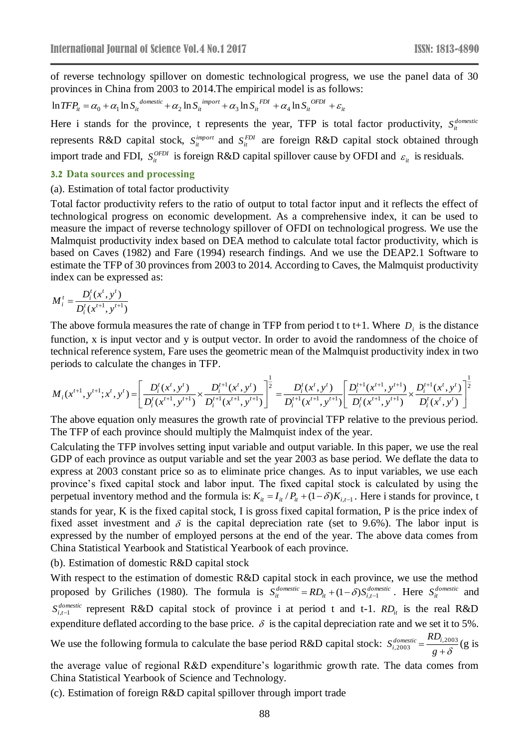of reverse technology spillover on domestic technological progress, we use the panel data of 30 provinces in China from 2003 to 2014.The empirical model is as follows:

$$
\ln TFP_{it} = \alpha_0 + \alpha_1 \ln S_{it}^{domestic} + \alpha_2 \ln S_{it}^{import} + \alpha_3 \ln S_{it}^{FDI} + \alpha_4 \ln S_{it}^{OFDI} + \varepsilon_{it}
$$

Here i stands for the province, t represents the year, TFP is total factor productivity,  $S_i^{domestic}$ represents R&D capital stock,  $S_{it}^{import}$  and  $S_{it}^{FDI}$  are foreign R&D capital stock obtained through import trade and FDI,  $S_i^{OPDI}$  is foreign R&D capital spillover cause by OFDI and  $\varepsilon_i$  is residuals.

#### **3.2 Data sources and processing**

#### (a). Estimation of total factor productivity

Total factor productivity refers to the ratio of output to total factor input and it reflects the effect of technological progress on economic development. As a comprehensive index, it can be used to measure the impact of reverse technology spillover of OFDI on technological progress. We use the Malmquist productivity index based on DEA method to calculate total factor productivity, which is based on Caves (1982) and Fare (1994) research findings. And we use the DEAP2.1 Software to estimate the TFP of 30 provinces from 2003 to 2014. According to Caves, the Malmquist productivity index can be expressed as:

$$
M_i^t = \frac{D_i^t(x^t, y^t)}{D_i^t(x^{t+1}, y^{t+1})}
$$

The above formula measures the rate of change in TFP from period t to t+1. Where  $D_i$  is the distance function, x is input vector and y is output vector. In order to avoid the randomness of the choice of technical reference system, Fare uses the geometric mean of the Malmquist productivity index in two periods to calculate the changes in TFP.

$$
M_i(x^{t+1}, y^{t+1}; x^t, y^t) = \left[ \frac{D_i^t(x^t, y^t)}{D_i^t(x^{t+1}, y^{t+1})} \times \frac{D_i^{t+1}(x^t, y^t)}{D_i^{t+1}(x^{t+1}, y^{t+1})} \right]^{\frac{1}{2}} = \frac{D_i^t(x^t, y^t)}{D_i^{t+1}(x^{t+1}, y^{t+1})} \left[ \frac{D_i^{t+1}(x^{t+1}, y^{t+1})}{D_i^t(x^t, y^{t})} \times \frac{D_i^{t+1}(x^t, y^t)}{D_i^t(x^t, y^{t})} \right]^{\frac{1}{2}}
$$

The above equation only measures the growth rate of provincial TFP relative to the previous period. The TFP of each province should multiply the Malmquist index of the year.

Calculating the TFP involves setting input variable and output variable. In this paper, we use the real GDP of each province as output variable and set the year 2003 as base period. We deflate the data to express at 2003 constant price so as to eliminate price changes. As to input variables, we use each province's fixed capital stock and labor input. The fixed capital stock is calculated by using the perpetual inventory method and the formula is:  $K_{it} = I_{it}/P_{it} + (1 - \delta)K_{i,t-1}$ . Here i stands for province, t stands for year, K is the fixed capital stock, I is gross fixed capital formation, P is the price index of fixed asset investment and  $\delta$  is the capital depreciation rate (set to 9.6%). The labor input is expressed by the number of employed persons at the end of the year. The above data comes from China Statistical Yearbook and Statistical Yearbook of each province.

(b). Estimation of domestic R&D capital stock

With respect to the estimation of domestic R&D capital stock in each province, we use the method proposed by Griliches (1980). The formula is  $S_{it}^{domestic} = RD_{it} + (1 - \delta) S_{i,t-1}^{domestic}$ . Here  $S_{it}^{domestic}$  and  $S_{i,t-1}^{domestic}$  represent R&D capital stock of province i at period t and t-1.  $RD_{it}$  is the real R&D expenditure deflated according to the base price.  $\delta$  is the capital depreciation rate and we set it to 5%.

We use the following formula to calculate the base period R&D capital stock:  $S_{i,2003}^{domestic} = \frac{1273,200}{g + \delta}$ *RD*  $S_{i,2003}^{domestic} = \frac{100}{100}$  $\frac{1}{10003}$  =  $\frac{1}{10003}$  (g is

the average value of regional R&D expenditure's logarithmic growth rate. The data comes from China Statistical Yearbook of Science and Technology.

(c). Estimation of foreign R&D capital spillover through import trade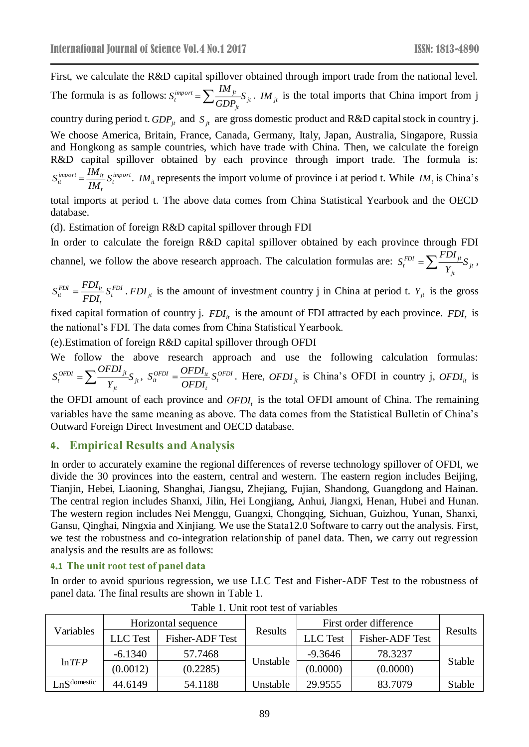First, we calculate the R&D capital spillover obtained through import trade from the national level. The formula is as follows:  $S_t^{import} = \sum_{i} \frac{I_{t}I_{t}}{GDD} S_{jt}$ *jt*  $\sum_{t}^{import} = \sum_{GDP_{it}}^{inf} S$  $S_i^{import} = \sum_{i} \frac{IM_{jt}}{GDP} S_{jt}$ . *IM*<sub>jt</sub> is the total imports that China import from j country during period t.  $GDP_{jt}$  and  $S_{jt}$  are gross domestic product and R&D capital stock in country j. We choose America, Britain, France, Canada, Germany, Italy, Japan, Australia, Singapore, Russia and Hongkong as sample countries, which have trade with China. Then, we calculate the foreign R&D capital spillover obtained by each province through import trade. The formula is: *import t t*  $S_{it}^{import} = \frac{IM_{it}}{IM} S_{t}^{import}$ . *IM*<sub>it</sub> represents the import volume of province i at period t. While *IM*<sub>t</sub> is China's total imports at period t. The above data comes from China Statistical Yearbook and the OECD database.

(d). Estimation of foreign R&D capital spillover through FDI

In order to calculate the foreign R&D capital spillover obtained by each province through FDI

channel, we follow the above research approach. The calculation formulas are:  $S_t^{FDI} = \sum_{i=1}^{T} \frac{P_i^T P_i^T}{N} S_{ji}$ *jt*  $\sum_{t}^{FDI} = \sum_{t} \frac{P}{Y_{it}} S$  $S_t^{FDI} = \sum \frac{FDI_{jt}}{V} S_{jt}$ 

*FDI t*  $S_{ii}^{FDI} = \frac{FDI_{it}}{FDI_{i}} S_{t}^{FDI}$ .  $FDI_{jt}$  is the amount of investment country j in China at period t.  $Y_{jt}$  is the gross

fixed capital formation of country j.  $FDI_{it}$  is the amount of FDI attracted by each province.  $FDI_t$  is the national's FDI. The data comes from China Statistical Yearbook.

(e).Estimation of foreign R&D capital spillover through OFDI

We follow the above research approach and use the following calculation formulas: *jt jt*  $\sum_{t}^{OFDI} = \sum_{t} \frac{S}{Y_{t}} S$  $S_t^{OFDI} = \sum \frac{OFDI_{jt}}{V} S_{jt}, \; S_{it}^{OFDI} = \frac{OFDI_{it}}{OFDI} S_t^{OFDI}$ *t*  $\frac{\partial FDI}{\partial FDI} = \frac{\partial FDI_{it}}{\partial FDI} S$  $S_{ii}^{OFDI} = \frac{OFDI_{ii}}{OFDI} S_i^{OFDI}$ . Here,  $OFDI_{ji}$  is China's OFDI in country j,  $OFDI_{ii}$  is

the OFDI amount of each province and  $OFDI<sub>t</sub>$  is the total OFDI amount of China. The remaining variables have the same meaning as above. The data comes from the Statistical Bulletin of China's Outward Foreign Direct Investment and OECD database.

### **4. Empirical Results and Analysis**

In order to accurately examine the regional differences of reverse technology spillover of OFDI, we divide the 30 provinces into the eastern, central and western. The eastern region includes Beijing, Tianjin, Hebei, Liaoning, Shanghai, Jiangsu, Zhejiang, Fujian, Shandong, Guangdong and Hainan. The central region includes Shanxi, Jilin, Hei Longjiang, Anhui, Jiangxi, Henan, Hubei and Hunan. The western region includes Nei Menggu, Guangxi, Chongqing, Sichuan, Guizhou, Yunan, Shanxi, Gansu, Qinghai, Ningxia and Xinjiang. We use the Stata12.0 Software to carry out the analysis. First, we test the robustness and co-integration relationship of panel data. Then, we carry out regression analysis and the results are as follows:

#### **4.1 The unit root test of panel data**

In order to avoid spurious regression, we use LLC Test and Fisher-ADF Test to the robustness of panel data. The final results are shown in Table 1.

| Variables         | Horizontal sequence |                        |          | First order difference |                        |         |
|-------------------|---------------------|------------------------|----------|------------------------|------------------------|---------|
|                   | LLC Test            | <b>Fisher-ADF</b> Test | Results  | LLC Test               | <b>Fisher-ADF</b> Test | Results |
| ln TFP            | $-6.1340$           | 57.7468                |          | $-9.3646$              | 78.3237                | Stable  |
|                   | (0.0012)            | (0.2285)               | Unstable | (0.0000)               | (0.0000)               |         |
| $L_nS^{domestic}$ | 44.6149             | 54.1188                | Jnstable | 29.9555                | 83.7079                | Stable  |

Table 1. Unit root test of variables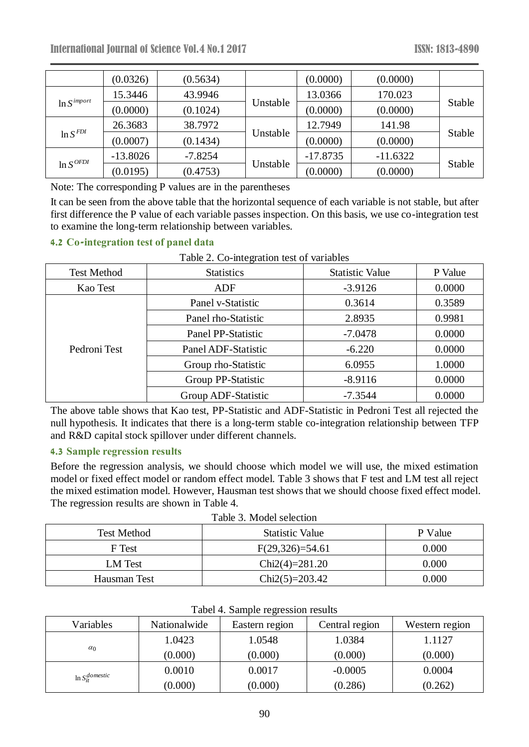|                  | (0.0326)   | (0.5634)  |          | (0.0000)   | (0.0000)   |        |
|------------------|------------|-----------|----------|------------|------------|--------|
| $\ln S^{import}$ | 15.3446    | 43.9946   |          | 13.0366    | 170.023    | Stable |
|                  | (0.0000)   | (0.1024)  | Unstable | (0.0000)   | (0.0000)   |        |
| $\ln S^{FDI}$    | 26.3683    | 38.7972   | Unstable | 12.7949    | 141.98     | Stable |
|                  | (0.0007)   | (0.1434)  |          | (0.0000)   | (0.0000)   |        |
| $\ln S^{OFDI}$   | $-13.8026$ | $-7.8254$ | Unstable | $-17.8735$ | $-11.6322$ |        |
|                  | (0.0195)   | (0.4753)  |          | (0.0000)   | (0.0000)   | Stable |

Note: The corresponding P values are in the parentheses

It can be seen from the above table that the horizontal sequence of each variable is not stable, but after first difference the P value of each variable passes inspection. On this basis, we use co-integration test to examine the long-term relationship between variables.

## **4.2 Co-integration test of panel data**

| <b>Test Method</b> | <b>Statistics</b>   | <b>Statistic Value</b> | P Value |
|--------------------|---------------------|------------------------|---------|
| Kao Test           | <b>ADF</b>          | $-3.9126$              | 0.0000  |
|                    | Panel v-Statistic   | 0.3614                 | 0.3589  |
|                    | Panel rho-Statistic | 2.8935                 | 0.9981  |
|                    | Panel PP-Statistic  | $-7.0478$              | 0.0000  |
| Pedroni Test       | Panel ADF-Statistic | $-6.220$               | 0.0000  |
|                    | Group rho-Statistic | 6.0955                 | 1.0000  |
|                    | Group PP-Statistic  | $-8.9116$              | 0.0000  |
|                    | Group ADF-Statistic | $-7.3544$              | 0.0000  |

The above table shows that Kao test, PP-Statistic and ADF-Statistic in Pedroni Test all rejected the null hypothesis. It indicates that there is a long-term stable co-integration relationship between TFP and R&D capital stock spillover under different channels.

## **4.3 Sample regression results**

Before the regression analysis, we should choose which model we will use, the mixed estimation model or fixed effect model or random effect model. Table 3 shows that F test and LM test all reject the mixed estimation model. However, Hausman test shows that we should choose fixed effect model. The regression results are shown in Table 4.

| Table 3. Model selection |                        |         |  |  |  |
|--------------------------|------------------------|---------|--|--|--|
| <b>Test Method</b>       | <b>Statistic Value</b> | P Value |  |  |  |
| F Test                   | $F(29,326)=54.61$      | 0.000   |  |  |  |
| LM Test                  | $Chi2(4)=281.20$       | 0.000   |  |  |  |
| Hausman Test             | $Chi2(5)=203.42$       | 0.000   |  |  |  |

| Variables               | Nationalwide | Eastern region | Central region | Western region |
|-------------------------|--------------|----------------|----------------|----------------|
| $\alpha_0$              | 1.0423       | 1.0548         | 1.0384         | 1.1127         |
|                         | (0.000)      | (0.000)        | (0.000)        | (0.000)        |
| $\ln S_{it}^{domestic}$ | 0.0010       | 0.0017         | $-0.0005$      | 0.0004         |
|                         | (0.000)      | (0.000)        | (0.286)        | (0.262)        |

Tabel 4. Sample regression results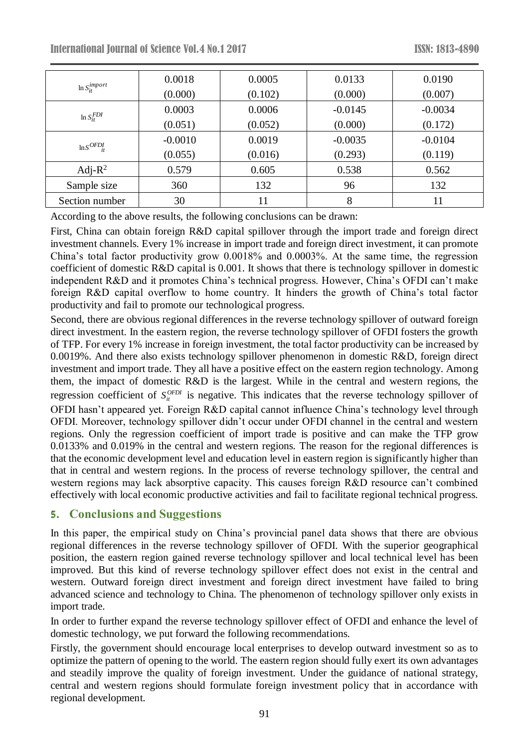| $\ln S_{it}^{import}$ | 0.0018    | 0.0005  | 0.0133    | 0.0190    |
|-----------------------|-----------|---------|-----------|-----------|
|                       | (0.000)   | (0.102) | (0.000)   | (0.007)   |
| $\ln S_{it}^{FDI}$    | 0.0003    | 0.0006  | $-0.0145$ | $-0.0034$ |
|                       | (0.051)   | (0.052) | (0.000)   | (0.172)   |
| $\ln S^{OFDI}$        | $-0.0010$ | 0.0019  | $-0.0035$ | $-0.0104$ |
|                       | (0.055)   | (0.016) | (0.293)   | (0.119)   |
| Adj- $R^2$            | 0.579     | 0.605   | 0.538     | 0.562     |
| Sample size           | 360       | 132     | 96        | 132       |
| Section number        | 30        |         | 8         | 11        |

According to the above results, the following conclusions can be drawn:

First, China can obtain foreign R&D capital spillover through the import trade and foreign direct investment channels. Every 1% increase in import trade and foreign direct investment, it can promote China's total factor productivity grow 0.0018% and 0.0003%. At the same time, the regression coefficient of domestic R&D capital is 0.001. It shows that there is technology spillover in domestic independent R&D and it promotes China's technical progress. However, China's OFDI can't make foreign R&D capital overflow to home country. It hinders the growth of China's total factor productivity and fail to promote our technological progress.

*inger*<br>
(0.000) (0.010) (0.000)<br>
(0.000) (0.010<br>
(0.000) (0.010<br>
(0.000) (0.051) (0.05<br> *inger*<br>
1.00003 0.0003<br>
1.0005<br> **j-R<sup>2</sup>** 0.559 0.010<br> **le size** 360 132<br> **number** 30 11<br> **g** to the above results, the following con Second, there are obvious regional differences in the reverse technology spillover of outward foreign direct investment. In the eastern region, the reverse technology spillover of OFDI fosters the growth of TFP. For every 1% increase in foreign investment, the total factor productivity can be increased by 0.0019%. And there also exists technology spillover phenomenon in domestic R&D, foreign direct investment and import trade. They all have a positive effect on the eastern region technology. Among them, the impact of domestic R&D is the largest. While in the central and western regions, the regression coefficient of  $S_{ii}^{OFDI}$  is negative. This indicates that the reverse technology spillover of OFDI hasn't appeared yet. Foreign R&D capital cannot influence China's technology level through OFDI. Moreover, technology spillover didn't occur under OFDI channel in the central and western regions. Only the regression coefficient of import trade is positive and can make the TFP grow 0.0133% and 0.019% in the central and western regions. The reason for the regional differences is that the economic development level and education level in eastern region is significantly higher than that in central and western regions. In the process of reverse technology spillover, the central and western regions may lack absorptive capacity. This causes foreign R&D resource can't combined effectively with local economic productive activities and fail to facilitate regional technical progress.

# **5. Conclusions and Suggestions**

In this paper, the empirical study on China's provincial panel data shows that there are obvious regional differences in the reverse technology spillover of OFDI. With the superior geographical position, the eastern region gained reverse technology spillover and local technical level has been improved. But this kind of reverse technology spillover effect does not exist in the central and western. Outward foreign direct investment and foreign direct investment have failed to bring advanced science and technology to China. The phenomenon of technology spillover only exists in import trade.

In order to further expand the reverse technology spillover effect of OFDI and enhance the level of domestic technology, we put forward the following recommendations.

Firstly, the government should encourage local enterprises to develop outward investment so as to optimize the pattern of opening to the world. The eastern region should fully exert its own advantages and steadily improve the quality of foreign investment. Under the guidance of national strategy, central and western regions should formulate foreign investment policy that in accordance with regional development.